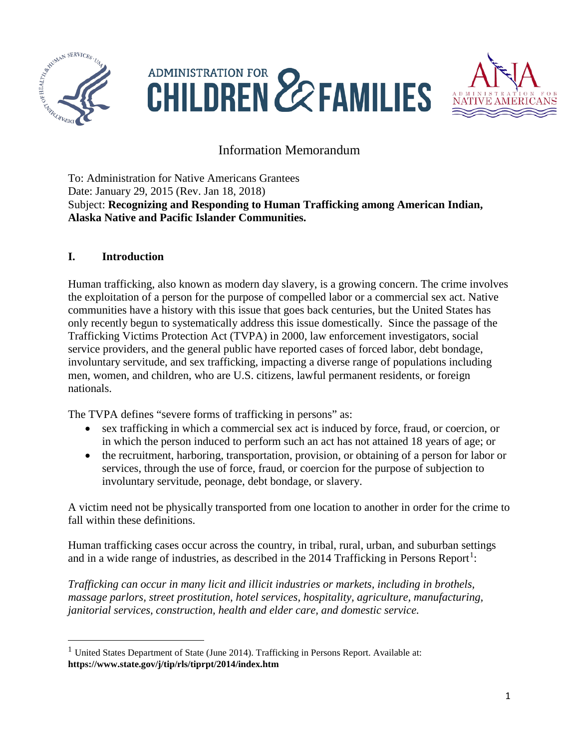

 $\overline{\phantom{a}}$ 





# Information Memorandum

To: Administration for Native Americans Grantees Date: January 29, 2015 (Rev. Jan 18, 2018) Subject: **Recognizing and Responding to Human Trafficking among American Indian, Alaska Native and Pacific Islander Communities.**

### **I. Introduction**

Human trafficking, also known as modern day slavery, is a growing concern. The crime involves the exploitation of a person for the purpose of compelled labor or a commercial sex act. Native communities have a history with this issue that goes back centuries, but the United States has only recently begun to systematically address this issue domestically. Since the passage of the Trafficking Victims Protection Act (TVPA) in 2000, law enforcement investigators, social service providers, and the general public have reported cases of forced labor, debt bondage, involuntary servitude, and sex trafficking, impacting a diverse range of populations including men, women, and children, who are U.S. citizens, lawful permanent residents, or foreign nationals.

The TVPA defines "severe forms of trafficking in persons" as:

- sex trafficking in which a commercial sex act is induced by force, fraud, or coercion, or in which the person induced to perform such an act has not attained 18 years of age; or
- the recruitment, harboring, transportation, provision, or obtaining of a person for labor or services, through the use of force, fraud, or coercion for the purpose of subjection to involuntary servitude, peonage, debt bondage, or slavery.

A victim need not be physically transported from one location to another in order for the crime to fall within these definitions.

Human trafficking cases occur across the country, in tribal, rural, urban, and suburban settings and in a wide range of industries, as described in the  $2014$  $2014$  $2014$  Trafficking in Persons Report<sup>1</sup>:

*Trafficking can occur in many licit and illicit industries or markets, including in brothels, massage parlors, street prostitution, hotel services, hospitality, agriculture, manufacturing, janitorial services, construction, health and elder care, and domestic service.* 

<span id="page-0-0"></span> $1$  United States Department of State (June 2014). Trafficking in Persons Report. Available at: **https://www.state.gov/j/tip/rls/tiprpt/2014/index.htm**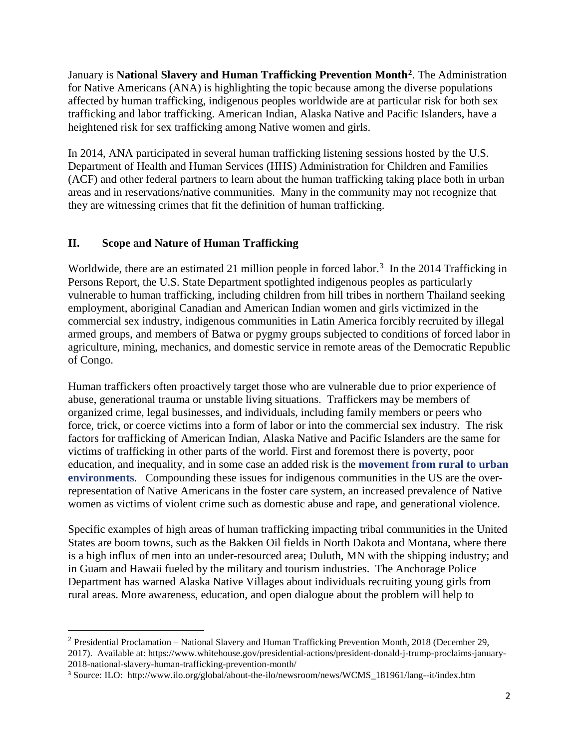January is **National Slavery and Human Trafficking Prevention Month[2](#page-1-0)**. The Administration for Native Americans (ANA) is highlighting the topic because among the diverse populations affected by human trafficking, indigenous peoples worldwide are at particular risk for both sex trafficking and labor trafficking. American Indian, Alaska Native and Pacific Islanders, have a heightened risk for sex trafficking among Native women and girls.

In 2014, ANA participated in several human trafficking listening sessions hosted by the U.S. Department of Health and Human Services (HHS) Administration for Children and Families (ACF) and other federal partners to learn about the human trafficking taking place both in urban areas and in reservations/native communities. Many in the community may not recognize that they are witnessing crimes that fit the definition of human trafficking.

### **II. Scope and Nature of Human Trafficking**

l

Worldwide, there are an estimated 21 million people in forced labor.<sup>[3](#page-1-1)</sup> In the 2014 Trafficking in Persons Report, the U.S. State Department spotlighted indigenous peoples as particularly vulnerable to human trafficking, including children from hill tribes in northern Thailand seeking employment, aboriginal Canadian and American Indian women and girls victimized in the commercial sex industry, indigenous communities in Latin America forcibly recruited by illegal armed groups, and members of Batwa or pygmy groups subjected to conditions of forced labor in agriculture, mining, mechanics, and domestic service in remote areas of the Democratic Republic of Congo.

Human traffickers often proactively target those who are vulnerable due to prior experience of abuse, generational trauma or unstable living situations. Traffickers may be members of organized crime, legal businesses, and individuals, including family members or peers who force, trick, or coerce victims into a form of labor or into the commercial sex industry. The risk factors for trafficking of American Indian, Alaska Native and Pacific Islanders are the same for victims of trafficking in other parts of the world. First and foremost there is poverty, poor education, and inequality, and in some case an added risk is the **[movement from rural to urban](http://www.adn.com/article/fbi-apd-sex-trafficking-rings-target-rural-girls-new-anchorage)  [environments](http://www.adn.com/article/fbi-apd-sex-trafficking-rings-target-rural-girls-new-anchorage)**. Compounding these issues for indigenous communities in the US are the overrepresentation of Native Americans in the foster care system, an increased prevalence of Native women as victims of violent crime such as domestic abuse and rape, and generational violence.

Specific examples of high areas of human trafficking impacting tribal communities in the United States are boom towns, such as the Bakken Oil fields in North Dakota and Montana, where there is a high influx of men into an under-resourced area; Duluth, MN with the shipping industry; and in Guam and Hawaii fueled by the military and tourism industries. The Anchorage Police Department has warned Alaska Native Villages about individuals recruiting young girls from rural areas. More awareness, education, and open dialogue about the problem will help to

<span id="page-1-0"></span><sup>2</sup> Presidential Proclamation – National Slavery and Human Trafficking Prevention Month, 2018 (December 29, 2017). Available at: https://www.whitehouse.gov/presidential-actions/president-donald-j-trump-proclaims-january-2018-national-slavery-human-trafficking-prevention-month/

<span id="page-1-1"></span><sup>3</sup> Source: ILO: http://www.ilo.org/global/about-the-ilo/newsroom/news/WCMS\_181961/lang--it/index.htm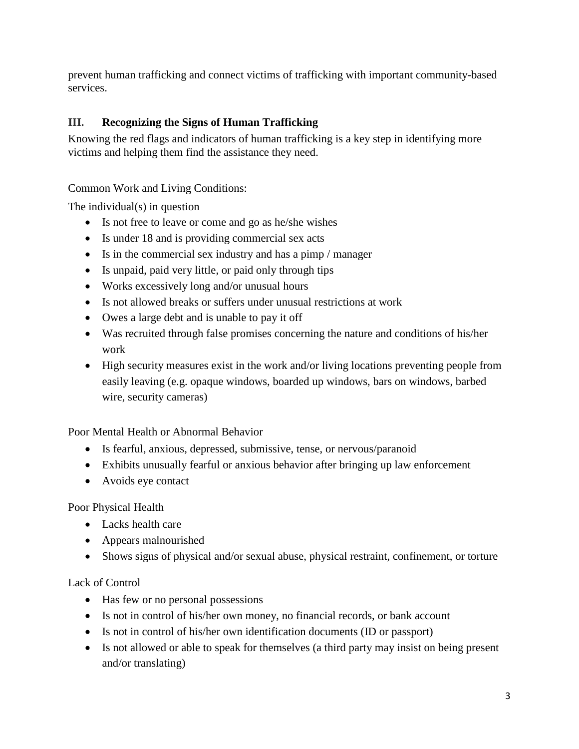prevent human trafficking and connect victims of trafficking with important community-based services.

# **III. Recognizing the Signs of Human Trafficking**

Knowing the red flags and indicators of human trafficking is a key step in identifying more victims and helping them find the assistance they need.

### Common Work and Living Conditions:

The individual(s) in question

- Is not free to leave or come and go as he/she wishes
- Is under 18 and is providing commercial sex acts
- Is in the commercial sex industry and has a pimp / manager
- Is unpaid, paid very little, or paid only through tips
- Works excessively long and/or unusual hours
- Is not allowed breaks or suffers under unusual restrictions at work
- Owes a large debt and is unable to pay it off
- Was recruited through false promises concerning the nature and conditions of his/her work
- High security measures exist in the work and/or living locations preventing people from easily leaving (e.g. opaque windows, boarded up windows, bars on windows, barbed wire, security cameras)

Poor Mental Health or Abnormal Behavior

- Is fearful, anxious, depressed, submissive, tense, or nervous/paranoid
- Exhibits unusually fearful or anxious behavior after bringing up law enforcement
- Avoids eye contact

Poor Physical Health

- Lacks health care
- Appears malnourished
- Shows signs of physical and/or sexual abuse, physical restraint, confinement, or torture

### Lack of Control

- Has few or no personal possessions
- Is not in control of his/her own money, no financial records, or bank account
- Is not in control of his/her own identification documents (ID or passport)
- Is not allowed or able to speak for themselves (a third party may insist on being present and/or translating)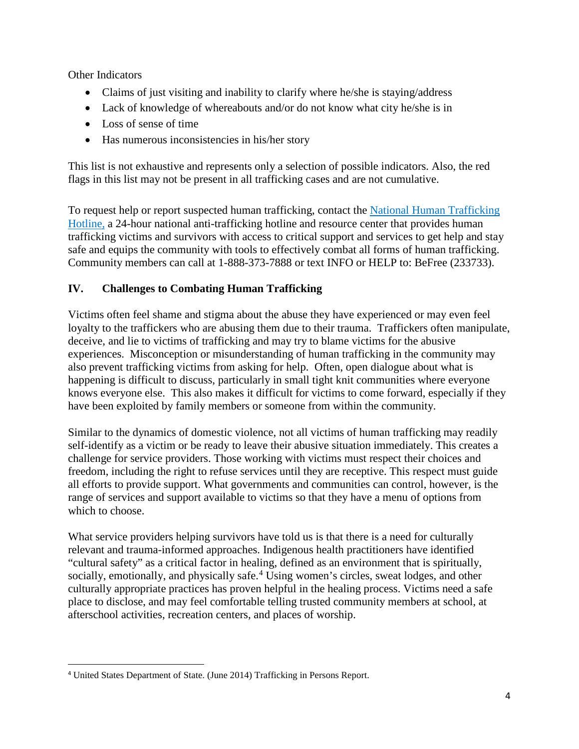Other Indicators

- Claims of just visiting and inability to clarify where he/she is staying/address
- Lack of knowledge of whereabouts and/or do not know what city he/she is in
- Loss of sense of time
- Has numerous inconsistencies in his/her story

This list is not exhaustive and represents only a selection of possible indicators. Also, the red flags in this list may not be present in all trafficking cases and are not cumulative.

To request help or report suspected human trafficking, contact the National Human Trafficking [Hotline,](https://humantraffickinghotline.org/) a 24-hour national anti-trafficking hotline and resource center that provides human trafficking victims and survivors with access to critical support and services to get help and stay safe and equips the community with tools to effectively combat all forms of human trafficking. Community members can call at 1-888-373-7888 or text INFO or HELP to: BeFree (233733).

# **IV. Challenges to Combating Human Trafficking**

Victims often feel shame and stigma about the abuse they have experienced or may even feel loyalty to the traffickers who are abusing them due to their trauma. Traffickers often manipulate, deceive, and lie to victims of trafficking and may try to blame victims for the abusive experiences. Misconception or misunderstanding of human trafficking in the community may also prevent trafficking victims from asking for help. Often, open dialogue about what is happening is difficult to discuss, particularly in small tight knit communities where everyone knows everyone else. This also makes it difficult for victims to come forward, especially if they have been exploited by family members or someone from within the community.

Similar to the dynamics of domestic violence, not all victims of human trafficking may readily self-identify as a victim or be ready to leave their abusive situation immediately. This creates a challenge for service providers. Those working with victims must respect their choices and freedom, including the right to refuse services until they are receptive. This respect must guide all efforts to provide support. What governments and communities can control, however, is the range of services and support available to victims so that they have a menu of options from which to choose.

What service providers helping survivors have told us is that there is a need for culturally relevant and trauma-informed approaches. Indigenous health practitioners have identified "cultural safety" as a critical factor in healing, defined as an environment that is spiritually, socially, emotionally, and physically safe.<sup>[4](#page-3-0)</sup> Using women's circles, sweat lodges, and other culturally appropriate practices has proven helpful in the healing process. Victims need a safe place to disclose, and may feel comfortable telling trusted community members at school, at afterschool activities, recreation centers, and places of worship.

<span id="page-3-0"></span> <sup>4</sup> United States Department of State. (June 2014) Trafficking in Persons Report.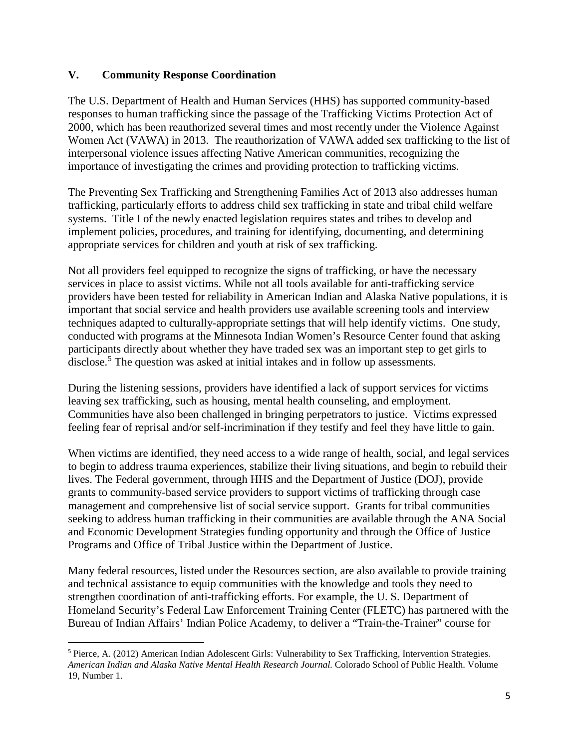#### **V. Community Response Coordination**

The U.S. Department of Health and Human Services (HHS) has supported community-based responses to human trafficking since the passage of the Trafficking Victims Protection Act of 2000, which has been reauthorized several times and most recently under the Violence Against Women Act (VAWA) in 2013. The reauthorization of VAWA added sex trafficking to the list of interpersonal violence issues affecting Native American communities, recognizing the importance of investigating the crimes and providing protection to trafficking victims.

The Preventing Sex Trafficking and Strengthening Families Act of 2013 also addresses human trafficking, particularly efforts to address child sex trafficking in state and tribal child welfare systems. Title I of the newly enacted legislation requires states and tribes to develop and implement policies, procedures, and training for identifying, documenting, and determining appropriate services for children and youth at risk of sex trafficking.

Not all providers feel equipped to recognize the signs of trafficking, or have the necessary services in place to assist victims. While not all tools available for anti-trafficking service providers have been tested for reliability in American Indian and Alaska Native populations, it is important that social service and health providers use available screening tools and interview techniques adapted to culturally-appropriate settings that will help identify victims. One study, conducted with programs at the Minnesota Indian Women's Resource Center found that asking participants directly about whether they have traded sex was an important step to get girls to disclose.<sup>[5](#page-4-0)</sup> The question was asked at initial intakes and in follow up assessments.

During the listening sessions, providers have identified a lack of support services for victims leaving sex trafficking, such as housing, mental health counseling, and employment. Communities have also been challenged in bringing perpetrators to justice. Victims expressed feeling fear of reprisal and/or self-incrimination if they testify and feel they have little to gain.

When victims are identified, they need access to a wide range of health, social, and legal services to begin to address trauma experiences, stabilize their living situations, and begin to rebuild their lives. The Federal government, through HHS and the Department of Justice (DOJ), provide grants to community-based service providers to support victims of trafficking through case management and comprehensive list of social service support. Grants for tribal communities seeking to address human trafficking in their communities are available through the ANA Social and Economic Development Strategies funding opportunity and through the Office of Justice Programs and Office of Tribal Justice within the Department of Justice.

Many federal resources, listed under the Resources section, are also available to provide training and technical assistance to equip communities with the knowledge and tools they need to strengthen coordination of anti-trafficking efforts. For example, the U. S. Department of Homeland Security's Federal Law Enforcement Training Center (FLETC) has partnered with the Bureau of Indian Affairs' Indian Police Academy, to deliver a "Train-the-Trainer" course for

<span id="page-4-0"></span><sup>&</sup>lt;sup>5</sup> Pierce, A. (2012) American Indian Adolescent Girls: Vulnerability to Sex Trafficking, Intervention Strategies. *American Indian and Alaska Native Mental Health Research Journal.* Colorado School of Public Health. Volume 19, Number 1.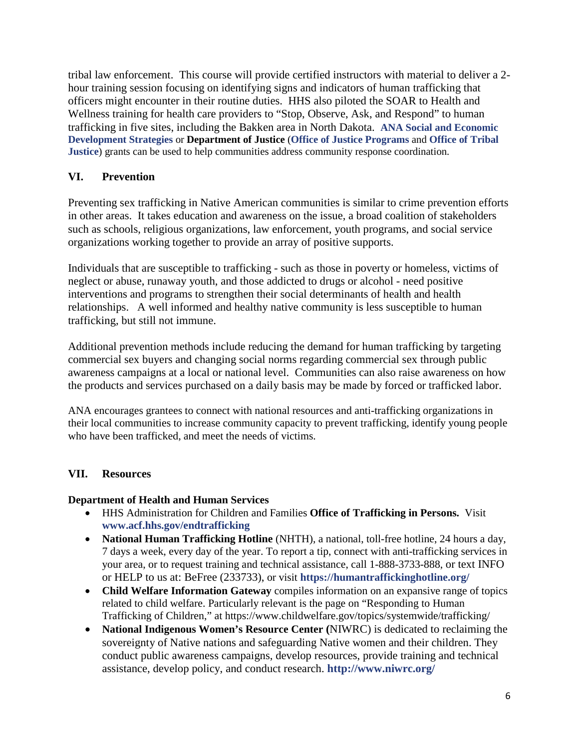tribal law enforcement. This course will provide certified instructors with material to deliver a 2 hour training session focusing on identifying signs and indicators of human trafficking that officers might encounter in their routine duties. HHS also piloted the SOAR to Health and Wellness training for health care providers to "Stop, Observe, Ask, and Respond" to human trafficking in five sites, including the Bakken area in North Dakota. **[ANA Social and Economic](http://www.acf.hhs.gov/programs/ana)  [Development Strategies](http://www.acf.hhs.gov/programs/ana)** or **Department of Justice** (**[Office of Justice Programs](http://ojp.gov/ovc/)** and **[Office of Tribal](http://www.justice.gov/tribal)  [Justice](http://www.justice.gov/tribal)**) grants can be used to help communities address community response coordination.

## **VI. Prevention**

Preventing sex trafficking in Native American communities is similar to crime prevention efforts in other areas. It takes education and awareness on the issue, a broad coalition of stakeholders such as schools, religious organizations, law enforcement, youth programs, and social service organizations working together to provide an array of positive supports.

Individuals that are susceptible to trafficking - such as those in poverty or homeless, victims of neglect or abuse, runaway youth, and those addicted to drugs or alcohol - need positive interventions and programs to strengthen their social determinants of health and health relationships. A well informed and healthy native community is less susceptible to human trafficking, but still not immune.

Additional prevention methods include reducing the demand for human trafficking by targeting commercial sex buyers and changing social norms regarding commercial sex through public awareness campaigns at a local or national level. Communities can also raise awareness on how the products and services purchased on a daily basis may be made by forced or trafficked labor.

ANA encourages grantees to connect with national resources and anti-trafficking organizations in their local communities to increase community capacity to prevent trafficking, identify young people who have been trafficked, and meet the needs of victims.

### **VII. Resources**

#### **Department of Health and Human Services**

- HHS Administration for Children and Families **Office of Trafficking in Persons.** Visit **[www.acf.hhs.gov/endtrafficking](http://www.acf.hhs.gov/endtrafficking)**
- **National Human Trafficking Hotline** (NHTH), a national, toll-free hotline, 24 hours a day, 7 days a week, every day of the year. To report a tip, connect with anti-trafficking services in your area, or to request training and technical assistance, call 1-888-3733-888, or text INFO or HELP to us at: BeFree (233733), or visit **<https://humantraffickinghotline.org/>**
- **Child Welfare Information Gateway** compiles information on an expansive range of topics related to child welfare. Particularly relevant is the page on "Responding to Human Trafficking of Children," at https://www.childwelfare.gov/topics/systemwide/trafficking/
- **National Indigenous Women's Resource Center (**NIWRC) is dedicated to reclaiming the sovereignty of Native nations and safeguarding Native women and their children. They conduct public awareness campaigns, develop resources, provide training and technical assistance, develop policy, and conduct research. **<http://www.niwrc.org/>**